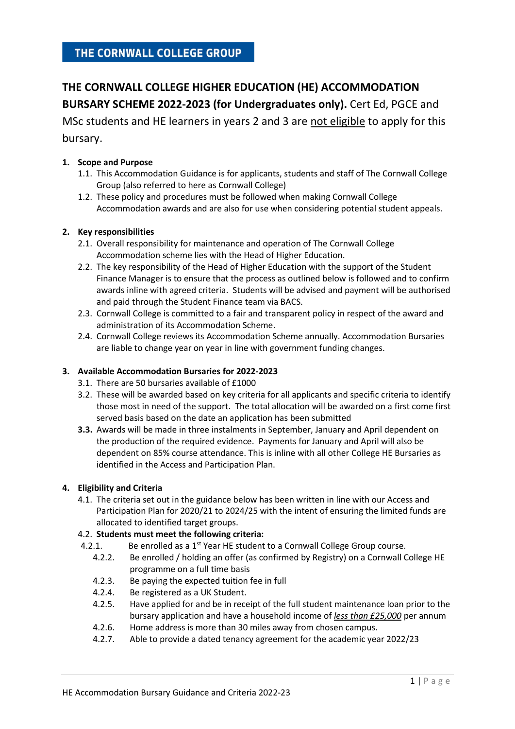### THE CORNWALL COLLEGE GROUP

# **THE CORNWALL COLLEGE HIGHER EDUCATION (HE) ACCOMMODATION BURSARY SCHEME 2022-2023 (for Undergraduates only).** Cert Ed, PGCE and

MSc students and HE learners in years 2 and 3 are not eligible to apply for this bursary.

#### **1. Scope and Purpose**

- 1.1. This Accommodation Guidance is for applicants, students and staff of The Cornwall College Group (also referred to here as Cornwall College)
- 1.2. These policy and procedures must be followed when making Cornwall College Accommodation awards and are also for use when considering potential student appeals.

#### **2. Key responsibilities**

- 2.1. Overall responsibility for maintenance and operation of The Cornwall College Accommodation scheme lies with the Head of Higher Education.
- 2.2. The key responsibility of the Head of Higher Education with the support of the Student Finance Manager is to ensure that the process as outlined below is followed and to confirm awards inline with agreed criteria. Students will be advised and payment will be authorised and paid through the Student Finance team via BACS.
- 2.3. Cornwall College is committed to a fair and transparent policy in respect of the award and administration of its Accommodation Scheme.
- 2.4. Cornwall College reviews its Accommodation Scheme annually. Accommodation Bursaries are liable to change year on year in line with government funding changes.

#### **3. Available Accommodation Bursaries for 2022-2023**

- 3.1. There are 50 bursaries available of £1000
- 3.2. These will be awarded based on key criteria for all applicants and specific criteria to identify those most in need of the support. The total allocation will be awarded on a first come first served basis based on the date an application has been submitted
- **3.3.** Awards will be made in three instalments in September, January and April dependent on the production of the required evidence. Payments for January and April will also be dependent on 85% course attendance. This is inline with all other College HE Bursaries as identified in the Access and Participation Plan.

#### **4. Eligibility and Criteria**

4.1. The criteria set out in the guidance below has been written in line with our Access and Participation Plan for 2020/21 to 2024/25 with the intent of ensuring the limited funds are allocated to identified target groups.

#### 4.2. **Students must meet the following criteria:**

- 4.2.1. Be enrolled as a  $1<sup>st</sup>$  Year HE student to a Cornwall College Group course.
	- 4.2.2. Be enrolled / holding an offer (as confirmed by Registry) on a Cornwall College HE programme on a full time basis
	- 4.2.3. Be paying the expected tuition fee in full
	- 4.2.4. Be registered as a UK Student.
	- 4.2.5. Have applied for and be in receipt of the full student maintenance loan prior to the bursary application and have a household income of *less than £25,000* per annum
	- 4.2.6. Home address is more than 30 miles away from chosen campus.
	- 4.2.7. Able to provide a dated tenancy agreement for the academic year 2022/23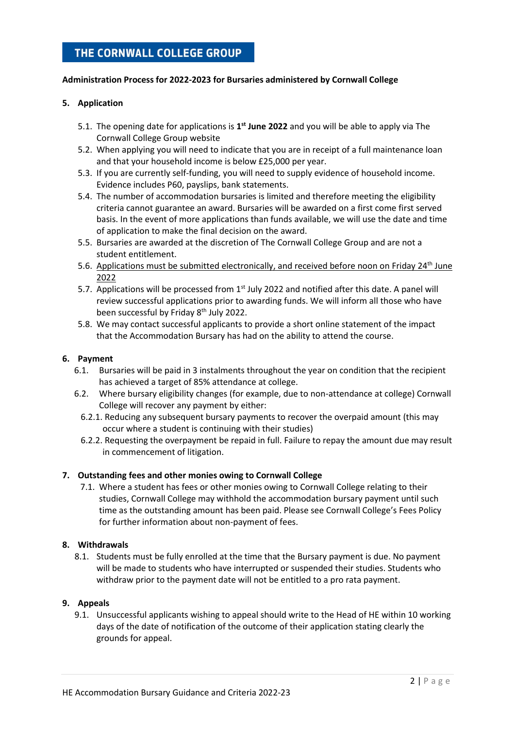## THE CORNWALL COLLEGE GROUP

#### **Administration Process for 2022-2023 for Bursaries administered by Cornwall College**

#### **5. Application**

- 5.1. The opening date for applications is **1 st June 2022** and you will be able to apply via The Cornwall College Group website
- 5.2. When applying you will need to indicate that you are in receipt of a full maintenance loan and that your household income is below £25,000 per year.
- 5.3. If you are currently self-funding, you will need to supply evidence of household income. Evidence includes P60, payslips, bank statements.
- 5.4. The number of accommodation bursaries is limited and therefore meeting the eligibility criteria cannot guarantee an award. Bursaries will be awarded on a first come first served basis. In the event of more applications than funds available, we will use the date and time of application to make the final decision on the award.
- 5.5. Bursaries are awarded at the discretion of The Cornwall College Group and are not a student entitlement.
- 5.6. Applications must be submitted electronically, and received before noon on Friday 24<sup>th</sup> June 2022
- 5.7. Applications will be processed from  $1<sup>st</sup>$  July 2022 and notified after this date. A panel will review successful applications prior to awarding funds. We will inform all those who have been successful by Friday 8<sup>th</sup> July 2022.
- 5.8. We may contact successful applicants to provide a short online statement of the impact that the Accommodation Bursary has had on the ability to attend the course.

#### **6. Payment**

- 6.1. Bursaries will be paid in 3 instalments throughout the year on condition that the recipient has achieved a target of 85% attendance at college.
- 6.2. Where bursary eligibility changes (for example, due to non-attendance at college) Cornwall College will recover any payment by either:
	- 6.2.1. Reducing any subsequent bursary payments to recover the overpaid amount (this may occur where a student is continuing with their studies)
	- 6.2.2. Requesting the overpayment be repaid in full. Failure to repay the amount due may result in commencement of litigation.

#### **7. Outstanding fees and other monies owing to Cornwall College**

7.1. Where a student has fees or other monies owing to Cornwall College relating to their studies, Cornwall College may withhold the accommodation bursary payment until such time as the outstanding amount has been paid. Please see Cornwall College's Fees Policy for further information about non-payment of fees.

#### **8. Withdrawals**

8.1. Students must be fully enrolled at the time that the Bursary payment is due. No payment will be made to students who have interrupted or suspended their studies. Students who withdraw prior to the payment date will not be entitled to a pro rata payment.

#### **9. Appeals**

9.1. Unsuccessful applicants wishing to appeal should write to the Head of HE within 10 working days of the date of notification of the outcome of their application stating clearly the grounds for appeal.